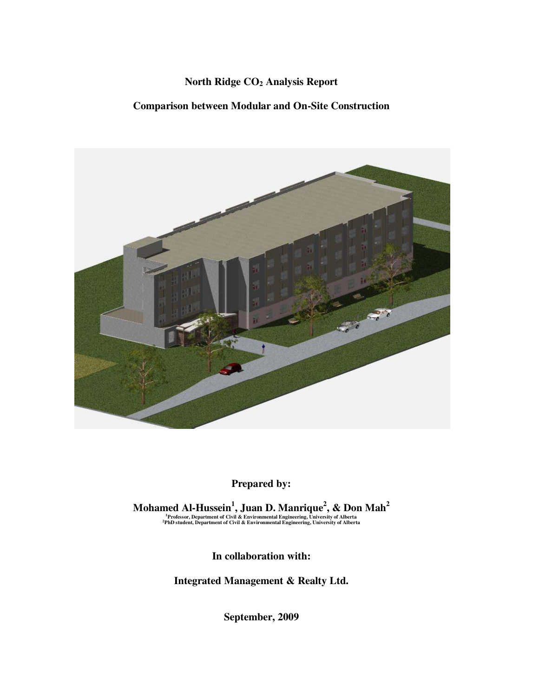### **North Ridge CO2 Analysis Report**

#### **Comparison between Modular and On-Site Construction**



## **Prepared by:**

Mohamed Al-Hussein<sup>1</sup>, Juan D. Manrique<sup>2</sup>, & Don Mah<sup>2</sup><br><sup>1</sup>Professor, Department of Civil & Environmental Engineering, University of Alberta<br><sup>2</sup>PhD student, Department of Civil & Environmental Engineering, University of

**In collaboration with:** 

**Integrated Management & Realty Ltd.** 

**September, 2009**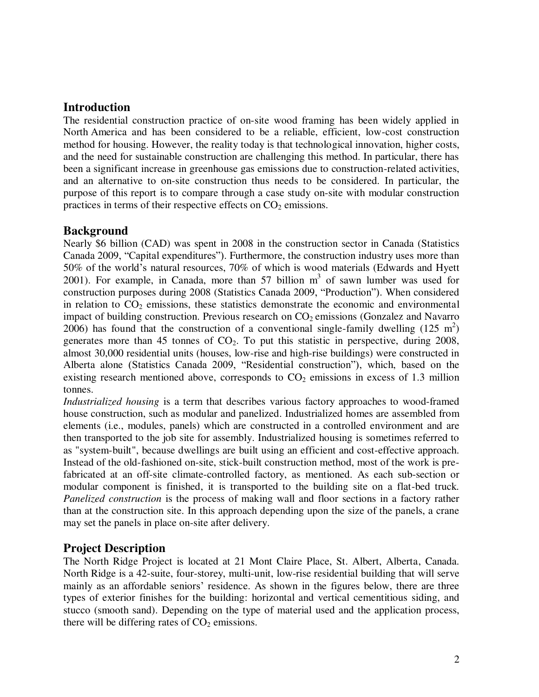### **Introduction**

The residential construction practice of on-site wood framing has been widely applied in North America and has been considered to be a reliable, efficient, low-cost construction method for housing. However, the reality today is that technological innovation, higher costs, and the need for sustainable construction are challenging this method. In particular, there has been a significant increase in greenhouse gas emissions due to construction-related activities, and an alternative to on-site construction thus needs to be considered. In particular, the purpose of this report is to compare through a case study on-site with modular construction practices in terms of their respective effects on  $CO<sub>2</sub>$  emissions.

### **Background**

Nearly \$6 billion (CAD) was spent in 2008 in the construction sector in Canada (Statistics Canada 2009, "Capital expenditures"). Furthermore, the construction industry uses more than 50% of the world's natural resources, 70% of which is wood materials (Edwards and Hyett 2001). For example, in Canada, more than 57 billion  $m<sup>3</sup>$  of sawn lumber was used for construction purposes during 2008 (Statistics Canada 2009, "Production"). When considered in relation to  $CO<sub>2</sub>$  emissions, these statistics demonstrate the economic and environmental impact of building construction. Previous research on  $CO<sub>2</sub>$  emissions (Gonzalez and Navarro 2006) has found that the construction of a conventional single-family dwelling  $(125 \text{ m}^2)$ generates more than 45 tonnes of  $CO<sub>2</sub>$ . To put this statistic in perspective, during 2008, almost 30,000 residential units (houses, low-rise and high-rise buildings) were constructed in Alberta alone (Statistics Canada 2009, "Residential construction"), which, based on the existing research mentioned above, corresponds to  $CO<sub>2</sub>$  emissions in excess of 1.3 million tonnes.

*Industrialized housing* is a term that describes various factory approaches to wood-framed house construction, such as modular and panelized. Industrialized homes are assembled from elements (i.e., modules, panels) which are constructed in a controlled environment and are then transported to the job site for assembly. Industrialized housing is sometimes referred to as "system-built", because dwellings are built using an efficient and cost-effective approach. Instead of the old-fashioned on-site, stick-built construction method, most of the work is prefabricated at an off-site climate-controlled factory, as mentioned. As each sub-section or modular component is finished, it is transported to the building site on a flat-bed truck*. Panelized construction* is the process of making wall and floor sections in a factory rather than at the construction site. In this approach depending upon the size of the panels, a crane may set the panels in place on-site after delivery.

## **Project Description**

The North Ridge Project is located at 21 Mont Claire Place, St. Albert, Alberta, Canada. North Ridge is a 42-suite, four-storey, multi-unit, low-rise residential building that will serve mainly as an affordable seniors' residence. As shown in the figures below, there are three types of exterior finishes for the building: horizontal and vertical cementitious siding, and stucco (smooth sand). Depending on the type of material used and the application process, there will be differing rates of  $CO<sub>2</sub>$  emissions.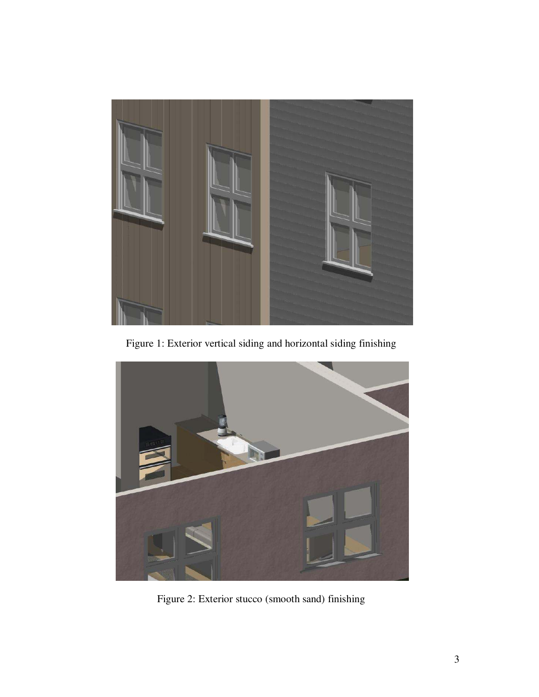

Figure 1: Exterior vertical siding and horizontal siding finishing



Figure 2: Exterior stucco (smooth sand) finishing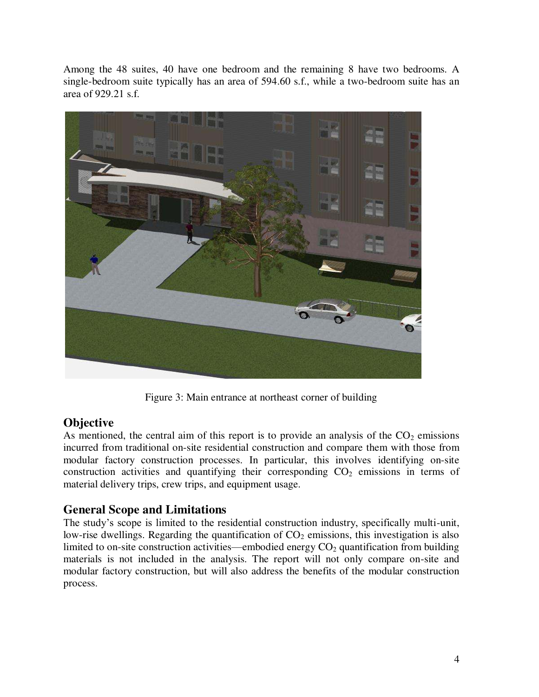Among the 48 suites, 40 have one bedroom and the remaining 8 have two bedrooms. A single-bedroom suite typically has an area of 594.60 s.f., while a two-bedroom suite has an area of 929.21 s.f.



Figure 3: Main entrance at northeast corner of building

## **Objective**

As mentioned, the central aim of this report is to provide an analysis of the  $CO<sub>2</sub>$  emissions incurred from traditional on-site residential construction and compare them with those from modular factory construction processes. In particular, this involves identifying on-site construction activities and quantifying their corresponding  $CO<sub>2</sub>$  emissions in terms of material delivery trips, crew trips, and equipment usage.

# **General Scope and Limitations**

The study's scope is limited to the residential construction industry, specifically multi-unit, low-rise dwellings. Regarding the quantification of  $CO<sub>2</sub>$  emissions, this investigation is also limited to on-site construction activities—embodied energy  $CO<sub>2</sub>$  quantification from building materials is not included in the analysis. The report will not only compare on-site and modular factory construction, but will also address the benefits of the modular construction process.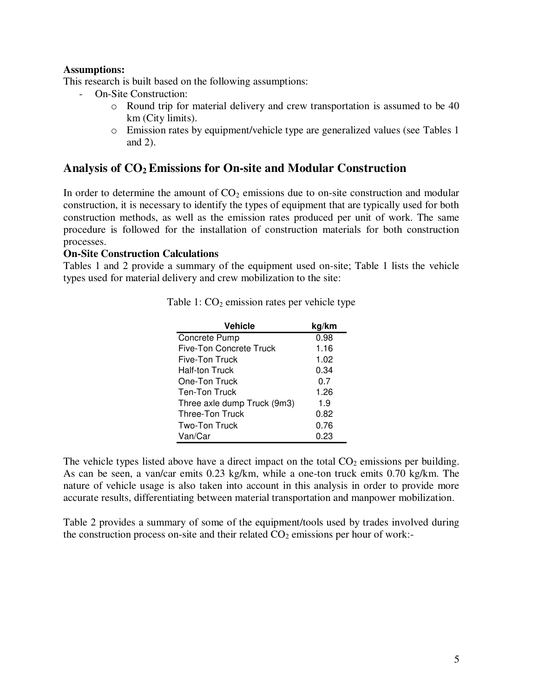#### **Assumptions:**

This research is built based on the following assumptions:

- On-Site Construction:
	- o Round trip for material delivery and crew transportation is assumed to be 40 km (City limits).
	- o Emission rates by equipment/vehicle type are generalized values (see Tables 1 and 2).

### **Analysis of CO2 Emissions for On-site and Modular Construction**

In order to determine the amount of  $CO<sub>2</sub>$  emissions due to on-site construction and modular construction, it is necessary to identify the types of equipment that are typically used for both construction methods, as well as the emission rates produced per unit of work. The same procedure is followed for the installation of construction materials for both construction processes.

#### **On-Site Construction Calculations**

Tables 1 and 2 provide a summary of the equipment used on-site; Table 1 lists the vehicle types used for material delivery and crew mobilization to the site:

| <b>Vehicle</b>              | kg/km |
|-----------------------------|-------|
| Concrete Pump               | 0.98  |
| Five-Ton Concrete Truck     | 1.16  |
| Five-Ton Truck              | 1.02  |
| <b>Half-ton Truck</b>       | 0.34  |
| One-Ton Truck               | 0.7   |
| Ten-Ton Truck               | 1.26  |
| Three axle dump Truck (9m3) | 1.9   |
| <b>Three-Ton Truck</b>      | 0.82  |
| Two-Ton Truck               | 0.76  |
| Van/Car                     | 0.23  |

Table 1:  $CO<sub>2</sub>$  emission rates per vehicle type

The vehicle types listed above have a direct impact on the total  $CO<sub>2</sub>$  emissions per building. As can be seen, a van/car emits 0.23 kg/km, while a one-ton truck emits 0.70 kg/km. The nature of vehicle usage is also taken into account in this analysis in order to provide more accurate results, differentiating between material transportation and manpower mobilization.

Table 2 provides a summary of some of the equipment/tools used by trades involved during the construction process on-site and their related  $CO<sub>2</sub>$  emissions per hour of work:-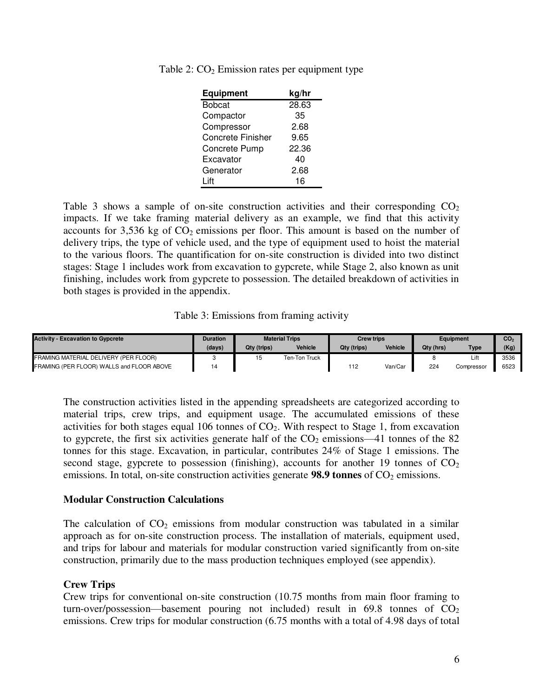| <b>Equipment</b>         | kg/hr |
|--------------------------|-------|
| <b>Bobcat</b>            | 28.63 |
| Compactor                | 35    |
| Compressor               | 2.68  |
| <b>Concrete Finisher</b> | 9.65  |
| Concrete Pump            | 22.36 |
| Excavator                | 40    |
| Generator                | 2.68  |
| l ift                    | 16    |

Table 2:  $CO<sub>2</sub>$  Emission rates per equipment type

Table 3 shows a sample of on-site construction activities and their corresponding  $CO<sub>2</sub>$ impacts. If we take framing material delivery as an example, we find that this activity accounts for  $3,536$  kg of  $CO<sub>2</sub>$  emissions per floor. This amount is based on the number of delivery trips, the type of vehicle used, and the type of equipment used to hoist the material to the various floors. The quantification for on-site construction is divided into two distinct stages: Stage 1 includes work from excavation to gypcrete, while Stage 2, also known as unit finishing, includes work from gypcrete to possession. The detailed breakdown of activities in both stages is provided in the appendix.

Table 3: Emissions from framing activity

| <b>Activity - Excavation to Gypcrete</b>  | Duration | <b>Material Trips</b> |                | <b>Crew trips</b> |                | <b>Equipment</b> |            | CO <sub>2</sub> |
|-------------------------------------------|----------|-----------------------|----------------|-------------------|----------------|------------------|------------|-----------------|
|                                           | (days)   | Qty (trips)           | <b>Vehicle</b> | Qty (trips)       | <b>Vehicle</b> | Qty (hrs)        | Type       | (Kg             |
| FRAMING MATERIAL DELIVERY (PER FLOOR)     |          |                       | Ten-Ton Truck  |                   |                |                  | Lift       | 3536            |
| FRAMING (PER FLOOR) WALLS and FLOOR ABOVE | - 1      |                       |                | 112               | Van/Car        | 224              | Compressor | 6523            |

The construction activities listed in the appending spreadsheets are categorized according to material trips, crew trips, and equipment usage. The accumulated emissions of these activities for both stages equal 106 tonnes of  $CO<sub>2</sub>$ . With respect to Stage 1, from excavation to gypcrete, the first six activities generate half of the  $CO<sub>2</sub>$  emissions—41 tonnes of the 82 tonnes for this stage. Excavation, in particular, contributes 24% of Stage 1 emissions. The second stage, gypcrete to possession (finishing), accounts for another 19 tonnes of  $CO<sub>2</sub>$ emissions. In total, on-site construction activities generate **98.9 tonnes** of  $CO<sub>2</sub>$  emissions.

#### **Modular Construction Calculations**

The calculation of  $CO<sub>2</sub>$  emissions from modular construction was tabulated in a similar approach as for on-site construction process. The installation of materials, equipment used, and trips for labour and materials for modular construction varied significantly from on-site construction, primarily due to the mass production techniques employed (see appendix).

#### **Crew Trips**

Crew trips for conventional on-site construction (10.75 months from main floor framing to turn-over/possession—basement pouring not included) result in  $69.8$  tonnes of  $CO<sub>2</sub>$ emissions. Crew trips for modular construction (6.75 months with a total of 4.98 days of total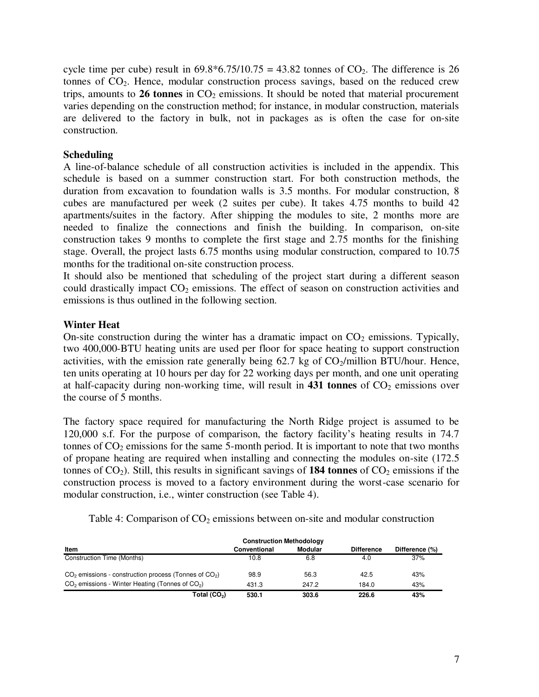cycle time per cube) result in  $69.8*6.75/10.75 = 43.82$  tonnes of  $CO<sub>2</sub>$ . The difference is 26 tonnes of CO<sub>2</sub>. Hence, modular construction process savings, based on the reduced crew trips, amounts to 26 tonnes in CO<sub>2</sub> emissions. It should be noted that material procurement varies depending on the construction method; for instance, in modular construction, materials are delivered to the factory in bulk, not in packages as is often the case for on-site construction.

#### **Scheduling**

A line-of-balance schedule of all construction activities is included in the appendix. This schedule is based on a summer construction start. For both construction methods, the duration from excavation to foundation walls is 3.5 months. For modular construction, 8 cubes are manufactured per week (2 suites per cube). It takes 4.75 months to build 42 apartments/suites in the factory. After shipping the modules to site, 2 months more are needed to finalize the connections and finish the building. In comparison, on-site construction takes 9 months to complete the first stage and 2.75 months for the finishing stage. Overall, the project lasts 6.75 months using modular construction, compared to 10.75 months for the traditional on-site construction process.

It should also be mentioned that scheduling of the project start during a different season could drastically impact  $CO<sub>2</sub>$  emissions. The effect of season on construction activities and emissions is thus outlined in the following section.

#### **Winter Heat**

On-site construction during the winter has a dramatic impact on  $CO<sub>2</sub>$  emissions. Typically, two 400,000-BTU heating units are used per floor for space heating to support construction activities, with the emission rate generally being  $62.7$  kg of  $CO<sub>2</sub>/million BTU/hour.$  Hence, ten units operating at 10 hours per day for 22 working days per month, and one unit operating at half-capacity during non-working time, will result in  $431$  tonnes of  $CO<sub>2</sub>$  emissions over the course of 5 months.

The factory space required for manufacturing the North Ridge project is assumed to be 120,000 s.f. For the purpose of comparison, the factory facility's heating results in 74.7 tonnes of  $CO<sub>2</sub>$  emissions for the same 5-month period. It is important to note that two months of propane heating are required when installing and connecting the modules on-site (172.5 tonnes of  $CO<sub>2</sub>$ ). Still, this results in significant savings of **184 tonnes** of  $CO<sub>2</sub>$  emissions if the construction process is moved to a factory environment during the worst-case scenario for modular construction, i.e., winter construction (see Table 4).

Table 4: Comparison of  $CO<sub>2</sub>$  emissions between on-site and modular construction

| Item                                                      | Conventional | Modular | <b>Difference</b> | Difference (%) |
|-----------------------------------------------------------|--------------|---------|-------------------|----------------|
| Construction Time (Months)                                | 10.8         | 6.8     | 4.0               | 37%            |
| $CO2$ emissions - construction process (Tonnes of $CO2$ ) | 98.9         | 56.3    | 42.5              | 43%            |
| $CO2$ emissions - Winter Heating (Tonnes of $CO2$ )       | 431.3        | 247.2   | 184.0             | 43%            |
| Total (CO <sub>2</sub> )                                  | 530.1        | 303.6   | 226.6             | 43%            |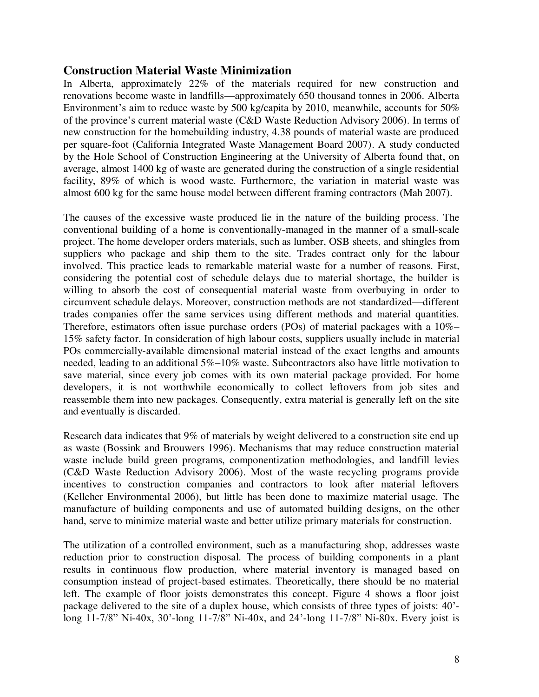### **Construction Material Waste Minimization**

In Alberta, approximately 22% of the materials required for new construction and renovations become waste in landfills—approximately 650 thousand tonnes in 2006. Alberta Environment's aim to reduce waste by 500 kg/capita by 2010, meanwhile, accounts for 50% of the province's current material waste (C&D Waste Reduction Advisory 2006). In terms of new construction for the homebuilding industry, 4.38 pounds of material waste are produced per square-foot (California Integrated Waste Management Board 2007). A study conducted by the Hole School of Construction Engineering at the University of Alberta found that, on average, almost 1400 kg of waste are generated during the construction of a single residential facility, 89% of which is wood waste. Furthermore, the variation in material waste was almost 600 kg for the same house model between different framing contractors (Mah 2007).

The causes of the excessive waste produced lie in the nature of the building process. The conventional building of a home is conventionally-managed in the manner of a small-scale project. The home developer orders materials, such as lumber, OSB sheets, and shingles from suppliers who package and ship them to the site. Trades contract only for the labour involved. This practice leads to remarkable material waste for a number of reasons. First, considering the potential cost of schedule delays due to material shortage, the builder is willing to absorb the cost of consequential material waste from overbuying in order to circumvent schedule delays. Moreover, construction methods are not standardized—different trades companies offer the same services using different methods and material quantities. Therefore, estimators often issue purchase orders (POs) of material packages with a 10%– 15% safety factor. In consideration of high labour costs, suppliers usually include in material POs commercially-available dimensional material instead of the exact lengths and amounts needed, leading to an additional 5%–10% waste. Subcontractors also have little motivation to save material, since every job comes with its own material package provided. For home developers, it is not worthwhile economically to collect leftovers from job sites and reassemble them into new packages. Consequently, extra material is generally left on the site and eventually is discarded.

Research data indicates that 9% of materials by weight delivered to a construction site end up as waste (Bossink and Brouwers 1996). Mechanisms that may reduce construction material waste include build green programs, componentization methodologies, and landfill levies (C&D Waste Reduction Advisory 2006). Most of the waste recycling programs provide incentives to construction companies and contractors to look after material leftovers (Kelleher Environmental 2006), but little has been done to maximize material usage. The manufacture of building components and use of automated building designs, on the other hand, serve to minimize material waste and better utilize primary materials for construction.

The utilization of a controlled environment, such as a manufacturing shop, addresses waste reduction prior to construction disposal. The process of building components in a plant results in continuous flow production, where material inventory is managed based on consumption instead of project-based estimates. Theoretically, there should be no material left. The example of floor joists demonstrates this concept. Figure 4 shows a floor joist package delivered to the site of a duplex house, which consists of three types of joists: 40' long 11-7/8" Ni-40x, 30'-long 11-7/8" Ni-40x, and 24'-long 11-7/8" Ni-80x. Every joist is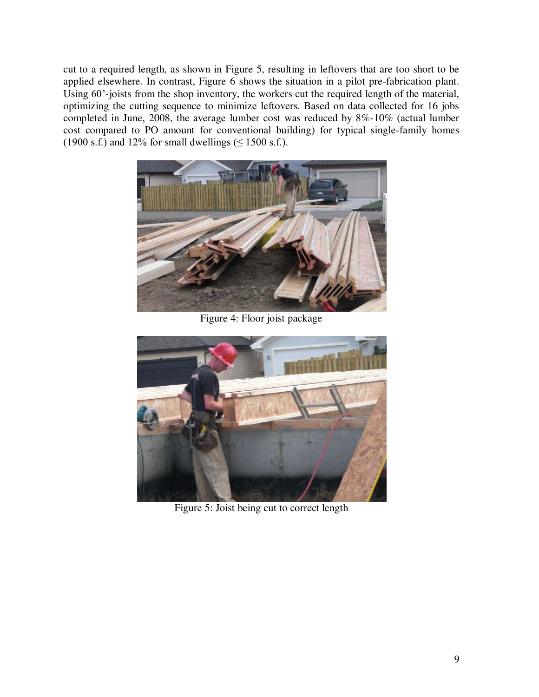cut to a required length, as shown in Figure 5, resulting in leftovers that are too short to be applied elsewhere. In contrast, Figure 6 shows the situation in a pilot pre-fabrication plant. Using 60'-joists from the shop inventory, the workers cut the required length of the material, optimizing the cutting sequence to minimize leftovers. Based on data collected for 16 jobs completed in June, 2008, the average lumber cost was reduced by 8%-10% (actual lumber cost compared to PO amount for conventional building) for typical single-family homes  $(1900 \text{ s.f.})$  and 12% for small dwellings ( $\leq 1500 \text{ s.f.}$ ).



Figure 4: Floor joist package



Figure 5: Joist being cut to correct length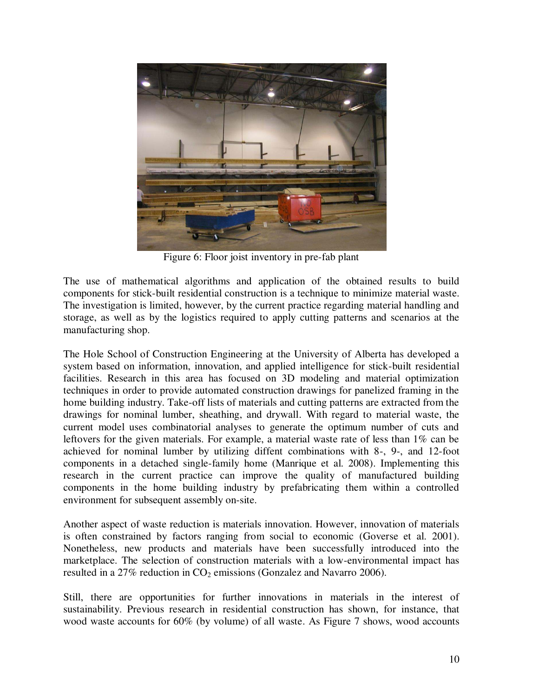

Figure 6: Floor joist inventory in pre-fab plant

The use of mathematical algorithms and application of the obtained results to build components for stick-built residential construction is a technique to minimize material waste. The investigation is limited, however, by the current practice regarding material handling and storage, as well as by the logistics required to apply cutting patterns and scenarios at the manufacturing shop.

The Hole School of Construction Engineering at the University of Alberta has developed a system based on information, innovation, and applied intelligence for stick-built residential facilities. Research in this area has focused on 3D modeling and material optimization techniques in order to provide automated construction drawings for panelized framing in the home building industry. Take-off lists of materials and cutting patterns are extracted from the drawings for nominal lumber, sheathing, and drywall. With regard to material waste, the current model uses combinatorial analyses to generate the optimum number of cuts and leftovers for the given materials. For example, a material waste rate of less than 1% can be achieved for nominal lumber by utilizing diffent combinations with 8-, 9-, and 12-foot components in a detached single-family home (Manrique et al. 2008). Implementing this research in the current practice can improve the quality of manufactured building components in the home building industry by prefabricating them within a controlled environment for subsequent assembly on-site.

Another aspect of waste reduction is materials innovation. However, innovation of materials is often constrained by factors ranging from social to economic (Goverse et al. 2001). Nonetheless, new products and materials have been successfully introduced into the marketplace. The selection of construction materials with a low-environmental impact has resulted in a  $27\%$  reduction in  $CO<sub>2</sub>$  emissions (Gonzalez and Navarro 2006).

Still, there are opportunities for further innovations in materials in the interest of sustainability. Previous research in residential construction has shown, for instance, that wood waste accounts for 60% (by volume) of all waste. As Figure 7 shows, wood accounts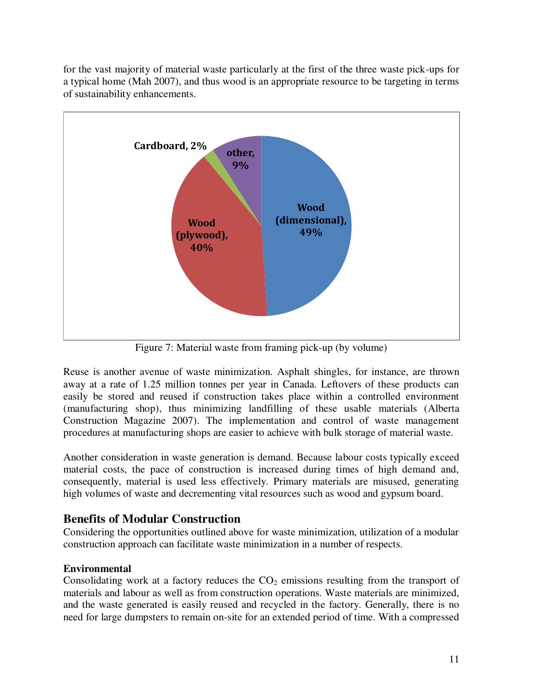for the vast majority of material waste particularly at the first of the three waste pick-ups for a typical home (Mah 2007), and thus wood is an appropriate resource to be targeting in terms of sustainability enhancements.



Figure 7: Material waste from framing pick-up (by volume)

Reuse is another avenue of waste minimization. Asphalt shingles, for instance, are thrown away at a rate of 1.25 million tonnes per year in Canada. Leftovers of these products can easily be stored and reused if construction takes place within a controlled environment (manufacturing shop), thus minimizing landfilling of these usable materials (Alberta Construction Magazine 2007). The implementation and control of waste management procedures at manufacturing shops are easier to achieve with bulk storage of material waste.

Another consideration in waste generation is demand. Because labour costs typically exceed material costs, the pace of construction is increased during times of high demand and, consequently, material is used less effectively. Primary materials are misused, generating high volumes of waste and decrementing vital resources such as wood and gypsum board.

# **Benefits of Modular Construction**

Considering the opportunities outlined above for waste minimization, utilization of a modular construction approach can facilitate waste minimization in a number of respects.

## **Environmental**

Consolidating work at a factory reduces the  $CO<sub>2</sub>$  emissions resulting from the transport of materials and labour as well as from construction operations. Waste materials are minimized, and the waste generated is easily reused and recycled in the factory. Generally, there is no need for large dumpsters to remain on-site for an extended period of time. With a compressed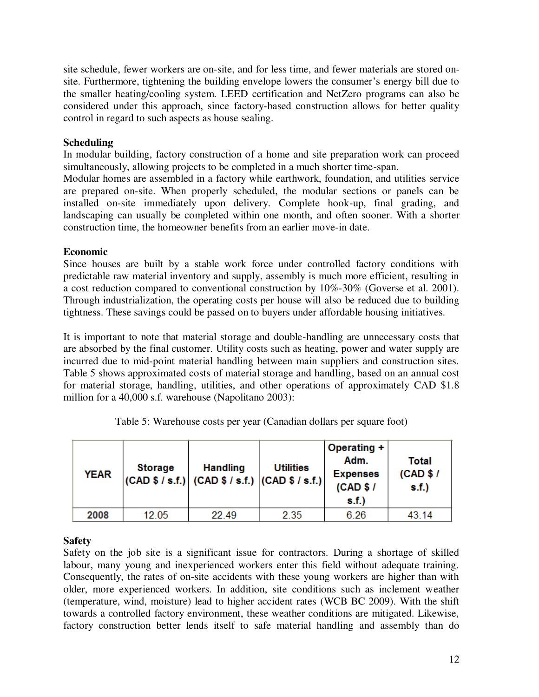site schedule, fewer workers are on-site, and for less time, and fewer materials are stored onsite. Furthermore, tightening the building envelope lowers the consumer's energy bill due to the smaller heating/cooling system. LEED certification and NetZero programs can also be considered under this approach, since factory-based construction allows for better quality control in regard to such aspects as house sealing.

#### **Scheduling**

In modular building, factory construction of a home and site preparation work can proceed simultaneously, allowing projects to be completed in a much shorter time-span.

Modular homes are assembled in a factory while earthwork, foundation, and utilities service are prepared on-site. When properly scheduled, the modular sections or panels can be installed on-site immediately upon delivery. Complete hook-up, final grading, and landscaping can usually be completed within one month, and often sooner. With a shorter construction time, the homeowner benefits from an earlier move-in date.

#### **Economic**

Since houses are built by a stable work force under controlled factory conditions with predictable raw material inventory and supply, assembly is much more efficient, resulting in a cost reduction compared to conventional construction by 10%-30% (Goverse et al. 2001). Through industrialization, the operating costs per house will also be reduced due to building tightness. These savings could be passed on to buyers under affordable housing initiatives.

It is important to note that material storage and double-handling are unnecessary costs that are absorbed by the final customer. Utility costs such as heating, power and water supply are incurred due to mid-point material handling between main suppliers and construction sites. Table 5 shows approximated costs of material storage and handling, based on an annual cost for material storage, handling, utilities, and other operations of approximately CAD \$1.8 million for a 40,000 s.f. warehouse (Napolitano 2003):

| <b>YEAR</b> | <b>Storage</b> | <b>Handling</b><br>$  (CAD $ / $ . 5. f. )   (CAD $ / $ . 5. f. )   (CAD $ / $ . 5. f. )  $ | <b>Utilities</b> | Operating +<br>Adm.<br><b>Expenses</b><br>(CAD \$1<br>s.f.) | Total<br>(CAD \$I<br>s.f.) |
|-------------|----------------|---------------------------------------------------------------------------------------------|------------------|-------------------------------------------------------------|----------------------------|
| 2008        | 12.05          | 22.49                                                                                       | 2.35             | 6.26                                                        | 43.14                      |

| Table 5: Warehouse costs per year (Canadian dollars per square foot) |
|----------------------------------------------------------------------|
|----------------------------------------------------------------------|

## **Safety**

Safety on the job site is a significant issue for contractors. During a shortage of skilled labour, many young and inexperienced workers enter this field without adequate training. Consequently, the rates of on-site accidents with these young workers are higher than with older, more experienced workers. In addition, site conditions such as inclement weather (temperature, wind, moisture) lead to higher accident rates (WCB BC 2009). With the shift towards a controlled factory environment, these weather conditions are mitigated. Likewise, factory construction better lends itself to safe material handling and assembly than do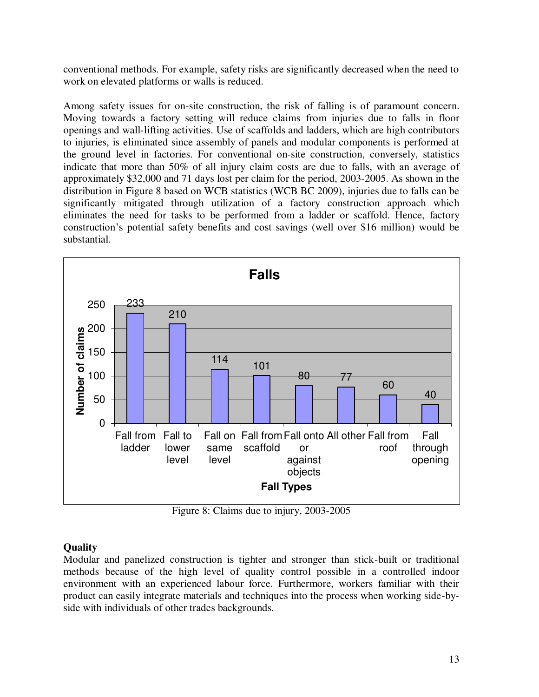conventional methods. For example, safety risks are significantly decreased when the need to work on elevated platforms or walls is reduced.

Among safety issues for on-site construction, the risk of falling is of paramount concern. Moving towards a factory setting will reduce claims from injuries due to falls in floor openings and wall-lifting activities. Use of scaffolds and ladders, which are high contributors to injuries, is eliminated since assembly of panels and modular components is performed at the ground level in factories. For conventional on-site construction, conversely, statistics indicate that more than 50% of all injury claim costs are due to falls, with an average of approximately \$32,000 and 71 days lost per claim for the period, 2003-2005. As shown in the distribution in Figure 8 based on WCB statistics (WCB BC 2009), injuries due to falls can be significantly mitigated through utilization of a factory construction approach which eliminates the need for tasks to be performed from a ladder or scaffold. Hence, factory construction's potential safety benefits and cost savings (well over \$16 million) would be substantial.



Figure 8: Claims due to injury, 2003-2005

### **Quality**

Modular and panelized construction is tighter and stronger than stick-built or traditional methods because of the high level of quality control possible in a controlled indoor environment with an experienced labour force. Furthermore, workers familiar with their product can easily integrate materials and techniques into the process when working side-byside with individuals of other trades backgrounds.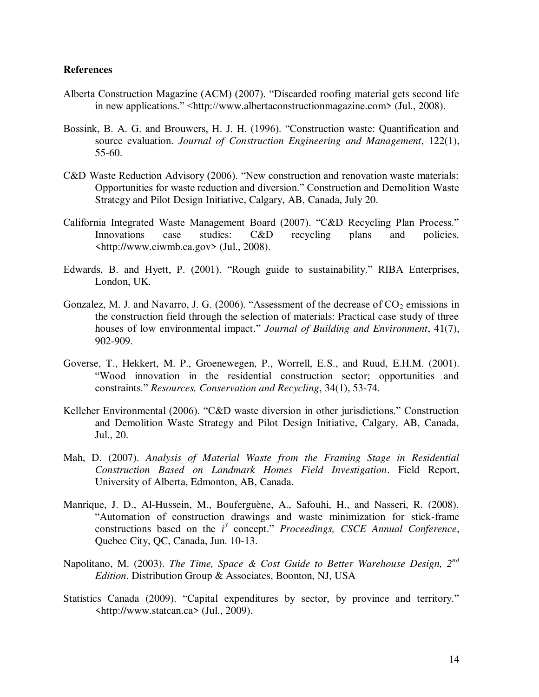#### **References**

- Alberta Construction Magazine (ACM) (2007). "Discarded roofing material gets second life in new applications." <http://www.albertaconstructionmagazine.com> (Jul., 2008).
- Bossink, B. A. G. and Brouwers, H. J. H. (1996). "Construction waste: Quantification and source evaluation. *Journal of Construction Engineering and Management*, 122(1), 55-60.
- C&D Waste Reduction Advisory (2006). "New construction and renovation waste materials: Opportunities for waste reduction and diversion." Construction and Demolition Waste Strategy and Pilot Design Initiative, Calgary, AB, Canada, July 20.
- California Integrated Waste Management Board (2007). "C&D Recycling Plan Process." Innovations case studies: C&D recycling plans and policies. <http://www.ciwmb.ca.gov> (Jul., 2008).
- Edwards, B. and Hyett, P. (2001). "Rough guide to sustainability." RIBA Enterprises, London, UK.
- Gonzalez, M. J. and Navarro, J. G. (2006). "Assessment of the decrease of  $CO_2$  emissions in the construction field through the selection of materials: Practical case study of three houses of low environmental impact." *Journal of Building and Environment*, 41(7), 902-909.
- Goverse, T., Hekkert, M. P., Groenewegen, P., Worrell, E.S., and Ruud, E.H.M. (2001). "Wood innovation in the residential construction sector; opportunities and constraints." *Resources, Conservation and Recycling*, 34(1), 53-74.
- Kelleher Environmental (2006). "C&D waste diversion in other jurisdictions." Construction and Demolition Waste Strategy and Pilot Design Initiative, Calgary, AB, Canada, Jul., 20.
- Mah, D. (2007). *Analysis of Material Waste from the Framing Stage in Residential Construction Based on Landmark Homes Field Investigation*. Field Report, University of Alberta, Edmonton, AB, Canada.
- Manrique, J. D., Al-Hussein, M., Bouferguène, A., Safouhi, H., and Nasseri, R. (2008). "Automation of construction drawings and waste minimization for stick-frame constructions based on the  $i<sup>3</sup>$  concept." *Proceedings, CSCE Annual Conference*, Quebec City, QC, Canada, Jun. 10-13.
- Napolitano, M. (2003). *The Time, Space & Cost Guide to Better Warehouse Design, 2nd Edition*. Distribution Group & Associates, Boonton, NJ, USA
- Statistics Canada (2009). "Capital expenditures by sector, by province and territory." <http://www.statcan.ca> (Jul., 2009).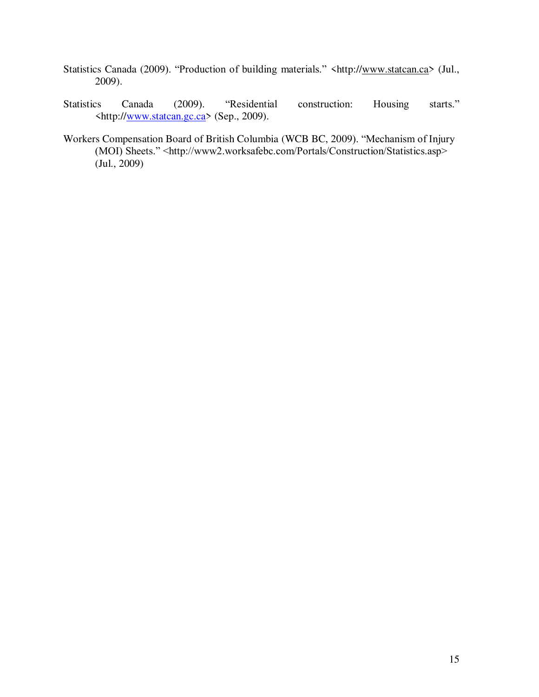- Statistics Canada (2009). "Production of building materials." <http:/[/www.statcan.ca>](http://www.statcan.ca/) (Jul., 2009).
- Statistics Canada (2009). "Residential construction: Housing starts." <http:/[/www.statcan.gc.ca>](http://www.statcan.gc.ca/) (Sep., 2009).
- Workers Compensation Board of British Columbia (WCB BC, 2009). "Mechanism of Injury (MOI) Sheets." <http://www2.worksafebc.com/Portals/Construction/Statistics.asp> (Jul., 2009)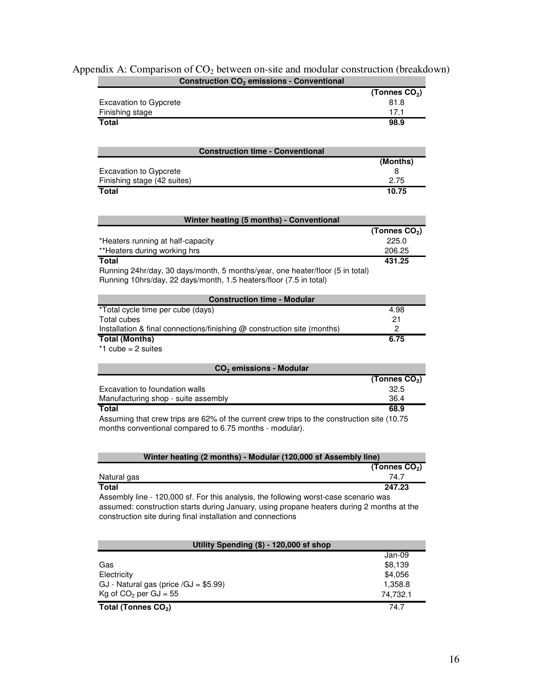| Construction CO <sub>2</sub> emissions - Conventional                                      |                           |
|--------------------------------------------------------------------------------------------|---------------------------|
|                                                                                            | (Tonnes $CO2$ )           |
| <b>Excavation to Gypcrete</b>                                                              | 81.8                      |
| Finishing stage                                                                            | 17.1                      |
| Total                                                                                      | 98.9                      |
|                                                                                            |                           |
| <b>Construction time - Conventional</b>                                                    |                           |
|                                                                                            | (Months)                  |
| <b>Excavation to Gypcrete</b>                                                              | 8                         |
| Finishing stage (42 suites)                                                                | 2.75                      |
| <b>Total</b>                                                                               | 10.75                     |
| Winter heating (5 months) - Conventional                                                   |                           |
|                                                                                            | (Tonnes CO <sub>2</sub> ) |
| *Heaters running at half-capacity                                                          | 225.0                     |
| **Heaters during working hrs                                                               | 206.25                    |
| <b>Total</b>                                                                               | 431.25                    |
| Running 24hr/day, 30 days/month, 5 months/year, one heater/floor (5 in total)              |                           |
| Running 10hrs/day, 22 days/month, 1.5 heaters/floor (7.5 in total)                         |                           |
|                                                                                            |                           |
| <b>Construction time - Modular</b>                                                         |                           |
| *Total cycle time per cube (days)                                                          | 4.98                      |
| <b>Total cubes</b>                                                                         | 21                        |
| Installation & final connections/finishing @ construction site (months)                    | 2                         |
| <b>Total (Months)</b>                                                                      | 6.75                      |
| $*1$ cube = 2 suites                                                                       |                           |
| CO <sub>2</sub> emissions - Modular                                                        |                           |
|                                                                                            | (Tonnes $CO2$ )           |
| Excavation to foundation walls                                                             | 32.5                      |
| Manufacturing shop - suite assembly                                                        | 36.4                      |
| <b>Total</b>                                                                               | 68.9                      |
| Assuming that crew trips are 62% of the current crew trips to the construction site (10.75 |                           |
| months conventional compared to 6.75 months - modular).                                    |                           |
|                                                                                            |                           |
|                                                                                            |                           |
| Winter heating (2 months) - Modular (120,000 sf Assembly line)                             |                           |
|                                                                                            | (Tonnes $CO2$ )           |
| Natural gas                                                                                | 74.7                      |
| <b>Total</b>                                                                               | 247.23                    |
| Assembly line - 120,000 sf. For this analysis, the following worst-case scenario was       |                           |
| assumed: construction starts during January, using propane heaters during 2 months at the  |                           |
| construction site during final installation and connections                                |                           |
|                                                                                            |                           |

| Appendix A: Comparison of $CO2$ between on-site and modular construction (breakdown) |  |
|--------------------------------------------------------------------------------------|--|
| <b>Construction CO<sub>2</sub></b> emissions - Conventional                          |  |

| Utility Spending (\$) - 120,000 sf shop |          |  |  |  |
|-----------------------------------------|----------|--|--|--|
|                                         | Jan-09   |  |  |  |
| Gas                                     | \$8,139  |  |  |  |
| Electricity                             | \$4,056  |  |  |  |
| GJ - Natural gas (price $/GJ = $5.99$ ) | 1,358.8  |  |  |  |
| Kg of $CO2$ per GJ = 55                 | 74.732.1 |  |  |  |
| Total (Tonnes CO <sub>2</sub> )         | 74.7     |  |  |  |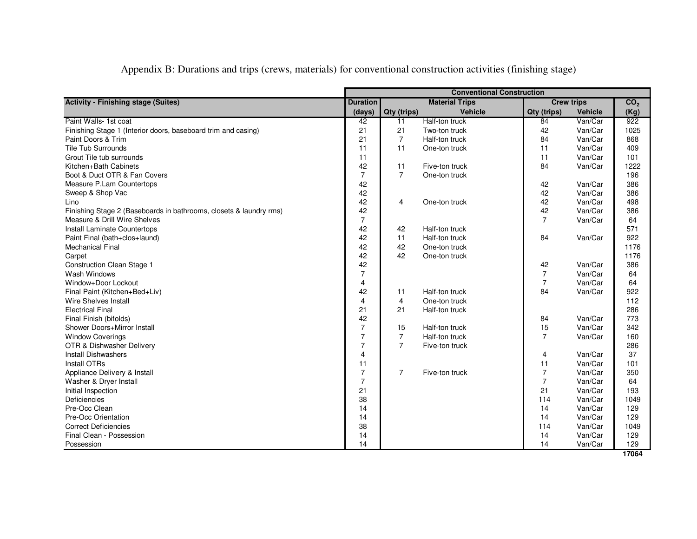| Appendix B: Durations and trips (crews, materials) for conventional construction activities (finishing stage) |  |  |  |
|---------------------------------------------------------------------------------------------------------------|--|--|--|
|                                                                                                               |  |  |  |

|                                                                    | <b>Conventional Construction</b>                              |                |                |                 |                |      |
|--------------------------------------------------------------------|---------------------------------------------------------------|----------------|----------------|-----------------|----------------|------|
| <b>Activity - Finishing stage (Suites)</b>                         | <b>Duration</b><br><b>Material Trips</b><br><b>Crew trips</b> |                |                | CO <sub>2</sub> |                |      |
|                                                                    | (days)                                                        | Qty (trips)    | <b>Vehicle</b> | Qty (trips)     | <b>Vehicle</b> | (Kg) |
| Paint Walls- 1st coat                                              | 42                                                            | 11             | Half-ton truck | 84              | Van/Car        | 922  |
| Finishing Stage 1 (Interior doors, baseboard trim and casing)      | 21                                                            | 21             | Two-ton truck  | 42              | Van/Car        | 1025 |
| Paint Doors & Trim                                                 | 21                                                            | $\overline{7}$ | Half-ton truck | 84              | Van/Car        | 868  |
| <b>Tile Tub Surrounds</b>                                          | 11                                                            | 11             | One-ton truck  | 11              | Van/Car        | 409  |
| Grout Tile tub surrounds                                           | 11                                                            |                |                | 11              | Van/Car        | 101  |
| Kitchen+Bath Cabinets                                              | 42                                                            | 11             | Five-ton truck | 84              | Van/Car        | 1222 |
| Boot & Duct OTR & Fan Covers                                       | $\overline{7}$                                                | $\overline{7}$ | One-ton truck  |                 |                | 196  |
| Measure P.Lam Countertops                                          | 42                                                            |                |                | 42              | Van/Car        | 386  |
| Sweep & Shop Vac                                                   | 42                                                            |                |                | 42              | Van/Car        | 386  |
| Lino                                                               | 42                                                            | 4              | One-ton truck  | 42              | Van/Car        | 498  |
| Finishing Stage 2 (Baseboards in bathrooms, closets & laundry rms) | 42                                                            |                |                | 42              | Van/Car        | 386  |
| Measure & Drill Wire Shelves                                       | $\overline{7}$                                                |                |                | $\overline{7}$  | Van/Car        | 64   |
| Install Laminate Countertops                                       | 42                                                            | 42             | Half-ton truck |                 |                | 571  |
| Paint Final (bath+clos+laund)                                      | 42                                                            | 11             | Half-ton truck | 84              | Van/Car        | 922  |
| <b>Mechanical Final</b>                                            | 42                                                            | 42             | One-ton truck  |                 |                | 1176 |
| Carpet                                                             | 42                                                            | 42             | One-ton truck  |                 |                | 1176 |
| <b>Construction Clean Stage 1</b>                                  | 42                                                            |                |                | 42              | Van/Car        | 386  |
| Wash Windows                                                       | $\overline{7}$                                                |                |                | $\overline{7}$  | Van/Car        | 64   |
| Window+Door Lockout                                                | $\overline{4}$                                                |                |                | $\overline{7}$  | Van/Car        | 64   |
| Final Paint (Kitchen+Bed+Liv)                                      | 42                                                            | 11             | Half-ton truck | 84              | Van/Car        | 922  |
| <b>Wire Shelves Install</b>                                        | $\overline{4}$                                                | 4              | One-ton truck  |                 |                | 112  |
| <b>Electrical Final</b>                                            | 21                                                            | 21             | Half-ton truck |                 |                | 286  |
| Final Finish (bifolds)                                             | 42                                                            |                |                | 84              | Van/Car        | 773  |
| Shower Doors+Mirror Install                                        | $\overline{7}$                                                | 15             | Half-ton truck | 15              | Van/Car        | 342  |
| <b>Window Coverings</b>                                            | $\overline{7}$                                                | $\overline{7}$ | Half-ton truck | $\overline{7}$  | Van/Car        | 160  |
| OTR & Dishwasher Delivery                                          | $\overline{7}$                                                | $\overline{7}$ | Five-ton truck |                 |                | 286  |
| <b>Install Dishwashers</b>                                         | $\overline{4}$                                                |                |                | 4               | Van/Car        | 37   |
| Install OTRs                                                       | 11                                                            |                |                | 11              | Van/Car        | 101  |
| Appliance Delivery & Install                                       | $\overline{7}$                                                | $\overline{7}$ | Five-ton truck | $\overline{7}$  | Van/Car        | 350  |
| Washer & Dryer Install                                             | $\overline{7}$                                                |                |                | $\overline{7}$  | Van/Car        | 64   |
| Initial Inspection                                                 | 21                                                            |                |                | 21              | Van/Car        | 193  |
| Deficiencies                                                       | 38                                                            |                |                | 114             | Van/Car        | 1049 |
| Pre-Occ Clean                                                      | 14                                                            |                |                | 14              | Van/Car        | 129  |
| Pre-Occ Orientation                                                | 14                                                            |                |                | 14              | Van/Car        | 129  |
| <b>Correct Deficiencies</b>                                        | 38                                                            |                |                | 114             | Van/Car        | 1049 |
| Final Clean - Possession                                           | 14                                                            |                |                | 14              | Van/Car        | 129  |
| Possession                                                         | 14                                                            |                |                | 14              | Van/Car        | 129  |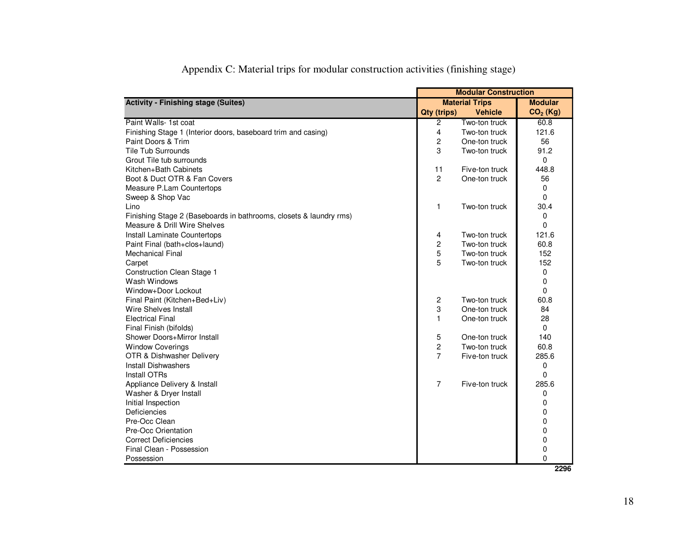|                                                                    | <b>Modular Construction</b> |                       |            |
|--------------------------------------------------------------------|-----------------------------|-----------------------|------------|
| <b>Activity - Finishing stage (Suites)</b>                         |                             | <b>Material Trips</b> |            |
|                                                                    | Qty (trips)                 | <b>Vehicle</b>        | $CO2$ (Kg) |
| Paint Walls- 1st coat                                              | $\overline{2}$              | Two-ton truck         | 60.8       |
| Finishing Stage 1 (Interior doors, baseboard trim and casing)      | $\overline{4}$              | Two-ton truck         | 121.6      |
| Paint Doors & Trim                                                 | $\overline{c}$              | One-ton truck         | 56         |
| <b>Tile Tub Surrounds</b>                                          | 3                           | Two-ton truck         | 91.2       |
| Grout Tile tub surrounds                                           |                             |                       | 0          |
| Kitchen+Bath Cabinets                                              | 11                          | Five-ton truck        | 448.8      |
| Boot & Duct OTR & Fan Covers                                       | $\mathbf{2}$                | One-ton truck         | 56         |
| Measure P.Lam Countertops                                          |                             |                       | 0          |
| Sweep & Shop Vac                                                   |                             |                       | $\Omega$   |
| Lino                                                               | 1                           | Two-ton truck         | 30.4       |
| Finishing Stage 2 (Baseboards in bathrooms, closets & laundry rms) |                             |                       | 0          |
| Measure & Drill Wire Shelves                                       |                             |                       | 0          |
| Install Laminate Countertops                                       | 4                           | Two-ton truck         | 121.6      |
| Paint Final (bath+clos+laund)                                      | 2                           | Two-ton truck         | 60.8       |
| <b>Mechanical Final</b>                                            | 5                           | Two-ton truck         | 152        |
| Carpet                                                             | 5                           | Two-ton truck         | 152        |
| <b>Construction Clean Stage 1</b>                                  |                             |                       | 0          |
| Wash Windows                                                       |                             |                       | 0          |
| Window+Door Lockout                                                |                             |                       | $\Omega$   |
| Final Paint (Kitchen+Bed+Liv)                                      | $\overline{c}$              | Two-ton truck         | 60.8       |
| Wire Shelves Install                                               | 3                           | One-ton truck         | 84         |
| <b>Electrical Final</b>                                            | $\mathbf{1}$                | One-ton truck         | 28         |
| Final Finish (bifolds)                                             |                             |                       | 0          |
| Shower Doors+Mirror Install                                        | 5                           | One-ton truck         | 140        |
| <b>Window Coverings</b>                                            | 2                           | Two-ton truck         | 60.8       |
| OTR & Dishwasher Delivery                                          | $\overline{7}$              | Five-ton truck        | 285.6      |
| <b>Install Dishwashers</b>                                         |                             |                       | 0          |
| Install OTRs                                                       |                             |                       | $\Omega$   |
| Appliance Delivery & Install                                       | $\overline{7}$              | Five-ton truck        | 285.6      |
| Washer & Dryer Install                                             |                             |                       | 0          |
| Initial Inspection                                                 |                             |                       | 0          |
| <b>Deficiencies</b>                                                |                             |                       | 0          |
| Pre-Occ Clean                                                      |                             |                       | 0          |
| Pre-Occ Orientation                                                |                             |                       | 0          |
| <b>Correct Deficiencies</b>                                        |                             |                       | 0          |
| Final Clean - Possession                                           |                             |                       | 0          |
| Possession                                                         |                             |                       | 0          |
|                                                                    |                             |                       | 2296       |

|  |  |  | Appendix C: Material trips for modular construction activities (finishing stage) |
|--|--|--|----------------------------------------------------------------------------------|
|  |  |  |                                                                                  |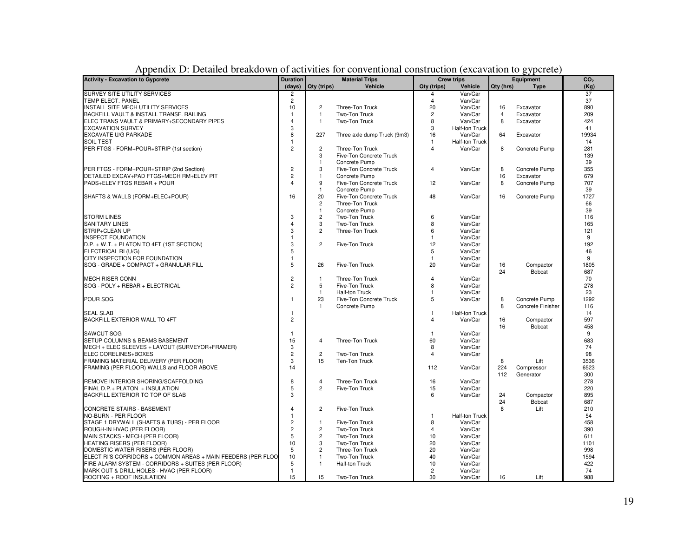| <b>Activity - Excavation to Gypcrete</b>                     |                | <b>Duration</b><br><b>Material Trips</b> |                             | <b>Crew trips</b> |                       | Equipment      |                   | CO <sub>2</sub> |  |
|--------------------------------------------------------------|----------------|------------------------------------------|-----------------------------|-------------------|-----------------------|----------------|-------------------|-----------------|--|
|                                                              | (days)         | Qty (trips)                              | Vehicle                     | Qty (trips)       | <b>Vehicle</b>        | Qty (hrs)      | <b>Type</b>       | (Kg)            |  |
| <b>SURVEY SITE UTILITY SERVICES</b>                          | 2              |                                          |                             | 4                 | Van/Car               |                |                   | 37              |  |
| TEMP ELECT. PANEL                                            | $\overline{c}$ |                                          |                             | 4                 | Van/Car               |                |                   | 37              |  |
| INSTALL SITE MECH UTILITY SERVICES                           | 10             | $\overline{c}$                           | Three-Ton Truck             | 20                | Van/Car               | 16             | Excavator         | 890             |  |
| BACKFILL VAULT & INSTALL TRANSF. RAILING                     | $\overline{1}$ | $\overline{1}$                           | Two-Ton Truck               | $\overline{c}$    | Van/Car               | $\overline{4}$ | Excavator         | 209             |  |
| ELEC TRANS VAULT & PRIMARY+SECONDARY PIPES                   | $\overline{4}$ | $\overline{1}$                           | Two-Ton Truck               | 8                 | Van/Car               | 8              | Excavator         | 424             |  |
| <b>EXCAVATION SURVEY</b>                                     | 3              |                                          |                             | 3                 | Half-ton Truck        |                |                   | 41              |  |
| EXCAVATE U/G PARKADE                                         | 8              | 227                                      | Three axle dump Truck (9m3) | 16                | Van/Car               | 64             | Excavator         | 19934           |  |
| <b>SOIL TEST</b>                                             | $\mathbf{1}$   |                                          |                             | $\overline{1}$    | Half-ton Truck        |                |                   | 14              |  |
| PER FTGS - FORM+POUR+STRIP (1st section)                     | $\overline{2}$ | $\overline{c}$                           | Three-Ton Truck             | $\overline{4}$    | Van/Car               | 8              | Concrete Pump     | 281             |  |
|                                                              |                | 3                                        | Five-Ton Concrete Truck     |                   |                       |                |                   | 139             |  |
|                                                              |                | $\overline{1}$                           | Concrete Pump               |                   |                       |                |                   | 39              |  |
| PER FTGS - FORM+POUR+STRIP (2nd Section)                     | $\overline{c}$ | 3                                        | Five-Ton Concrete Truck     | $\overline{4}$    | Van/Car               | 8              | Concrete Pump     | 355             |  |
| DETAILED EXCAV+PAD FTGS+MECH RM+ELEV PIT                     | $\overline{c}$ | $\mathbf{1}$                             | Concrete Pump               |                   |                       | 16             | Excavator         | 679             |  |
| PADS+ELEV FTGS REBAR + POUR                                  | $\overline{4}$ | 9                                        | Five-Ton Concrete Truck     | 12                | Van/Car               | 8              | Concrete Pump     | 707             |  |
|                                                              |                | $\overline{1}$                           | Concrete Pump               |                   |                       |                |                   | 39              |  |
| SHAFTS & WALLS (FORM+ELEC+POUR)                              | 16             | 20                                       | Five-Ton Concrete Truck     | 48                | Van/Car               | 16             | Concrete Pump     | 1727            |  |
|                                                              |                | $\overline{c}$                           | Three-Ton Truck             |                   |                       |                |                   | 66              |  |
|                                                              |                | $\mathbf{1}$                             | Concrete Pump               |                   |                       |                |                   | 39              |  |
| <b>STORM LINES</b>                                           | 3              | $\overline{2}$                           | Two-Ton Truck               | 6                 | Van/Car               |                |                   | 116             |  |
| <b>SANITARY LINES</b>                                        | $\overline{4}$ | 3                                        | Two-Ton Truck               | 8                 | Van/Car               |                |                   | 165             |  |
| STRIP+CLEAN UP                                               | 3              | $\overline{2}$                           | Three-Ton Truck             | 6                 | Van/Car               |                |                   | 121             |  |
| <b>INSPECT FOUNDATION</b>                                    | $\mathbf{1}$   |                                          |                             | $\mathbf{1}$      | Van/Car               |                |                   | 9               |  |
|                                                              | 3              | $\overline{2}$                           | Five-Ton Truck              | 12                | Van/Car               |                |                   | 192             |  |
| D.P. + W.T. + PLATON TO 4FT (1ST SECTION)                    |                |                                          |                             |                   |                       |                |                   |                 |  |
| ELECTRICAL RI (U/G)                                          | 5              |                                          |                             | 5                 | Van/Car               |                |                   | 46              |  |
| CITY INSPECTION FOR FOUNDATION                               | $\mathbf{1}$   |                                          |                             | $\mathbf{1}$      | Van/Car               |                |                   | 9               |  |
| SOG - GRADE + COMPACT + GRANULAR FILL                        | 5              | 26                                       | Five-Ton Truck              | 20                | Van/Car               | 16             | Compactor         | 1805            |  |
|                                                              |                |                                          |                             |                   |                       | 24             | <b>Bobcat</b>     | 687             |  |
| <b>MECH RISER CONN</b>                                       | $\overline{2}$ | $\overline{1}$                           | Three-Ton Truck             | $\overline{4}$    | Van/Car               |                |                   | 70              |  |
| SOG - POLY + REBAR + ELECTRICAL                              | $\overline{2}$ | 5                                        | Five-Ton Truck              | 8                 | Van/Car               |                |                   | 278             |  |
|                                                              |                | $\overline{1}$                           | <b>Half-ton Truck</b>       | $\overline{1}$    | Van/Car               |                |                   | 23              |  |
| POUR SOG                                                     | $\mathbf{1}$   | 23                                       | Five-Ton Concrete Truck     | 5                 | Van/Car               | 8              | Concrete Pump     | 1292            |  |
|                                                              |                | $\overline{1}$                           | Concrete Pump               |                   |                       | 8              | Concrete Finisher | 116             |  |
| <b>SEAL SLAB</b>                                             | $\mathbf{1}$   |                                          |                             | $\overline{1}$    | <b>Half-ton Truck</b> |                |                   | 14              |  |
| BACKFILL EXTERIOR WALL TO 4FT                                | $\overline{2}$ |                                          |                             | $\overline{4}$    | Van/Car               | 16             | Compactor         | 597             |  |
|                                                              |                |                                          |                             |                   |                       | 16             | Bobcat            | 458             |  |
| <b>SAWCUT SOG</b>                                            | $\overline{1}$ |                                          |                             | $\mathbf{1}$      | Van/Car               |                |                   | 9               |  |
| SETUP COLUMNS & BEAMS BASEMENT                               | 15             | $\overline{4}$                           | Three-Ton Truck             | 60                | Van/Car               |                |                   | 683             |  |
| MECH + ELEC SLEEVES + LAYOUT (SURVEYOR+FRAMER)               | 3              |                                          |                             | 8                 | Van/Car               |                |                   | 74              |  |
| ELEC CORELINES+BOXES                                         | $\overline{c}$ | $\overline{c}$                           | Two-Ton Truck               | 4                 | Van/Car               |                |                   | 98              |  |
| FRAMING MATERIAL DELIVERY (PER FLOOR)                        | 3              | 15                                       | Ten-Ton Truck               |                   |                       | 8              | Lift              | 3536            |  |
| FRAMING (PER FLOOR) WALLS and FLOOR ABOVE                    | 14             |                                          |                             | 112               | Van/Car               | 224            | Compressor        | 6523            |  |
|                                                              |                |                                          |                             |                   |                       | 112            | Generator         | 300             |  |
| REMOVE INTERIOR SHORING/SCAFFOLDING                          | 8              | $\overline{4}$                           | Three-Ton Truck             | 16                | Van/Car               |                |                   | 278             |  |
| FINAL D.P.+ PLATON + INSULATION                              | 5              | $\overline{2}$                           | Five-Ton Truck              | 15                | Van/Car               |                |                   | 220             |  |
| BACKFILL EXTERIOR TO TOP OF SLAB                             | 3              |                                          |                             | 6                 | Van/Car               | 24             | Compactor         | 895             |  |
|                                                              |                |                                          |                             |                   |                       | 24             | Bobcat            | 687             |  |
| CONCRETE STAIRS - BASEMENT                                   | $\overline{4}$ | $\overline{c}$                           | Five-Ton Truck              |                   |                       | 8              | Lift              | 210             |  |
| NO-BURN - PER FLOOR                                          | $\mathbf{1}$   |                                          |                             | $\mathbf{1}$      | <b>Half-ton Truck</b> |                |                   | 54              |  |
| STAGE 1 DRYWALL (SHAFTS & TUBS) - PER FLOOR                  | $\overline{c}$ | -1                                       | Five-Ton Truck              | 8                 | Van/Car               |                |                   | 458             |  |
| ROUGH-IN HVAC (PER FLOOR)                                    | $\overline{2}$ | $\overline{c}$                           | Two-Ton Truck               | $\overline{4}$    | Van/Car               |                |                   | 390             |  |
| MAIN STACKS - MECH (PER FLOOR)                               | 5              | $\overline{c}$                           | Two-Ton Truck               | 10                | Van/Car               |                |                   | 611             |  |
| HEATING RISERS (PER FLOOR)                                   | 10             | 3                                        | Two-Ton Truck               | 20                | Van/Car               |                |                   | 1101            |  |
| DOMESTIC WATER RISERS (PER FLOOR)                            | 5              | $\overline{c}$                           | Three-Ton Truck             | 20                | Van/Car               |                |                   | 998             |  |
| ELECT RI'S CORRIDORS + COMMON AREAS + MAIN FEEDERS (PER FLOO | 10             | $\overline{1}$                           | Two-Ton Truck               | 40                | Van/Car               |                |                   | 1594            |  |
| FIRE ALARM SYSTEM - CORRIDORS + SUITES (PER FLOOR)           | 5              | $\overline{1}$                           | <b>Half-ton Truck</b>       | 10                | Van/Car               |                |                   | 422             |  |
| MARK OUT & DRILL HOLES - HVAC (PER FLOOR)                    | $\mathbf{1}$   |                                          |                             | $\overline{c}$    | Van/Car               |                |                   | 74              |  |
| ROOFING + ROOF INSULATION                                    | 15             | 15                                       | Two-Ton Truck               | 30                | Van/Car               | 16             | Lift              | 988             |  |

# Appendix D: Detailed breakdown of activities for conventional construction (excavation to gypcrete)